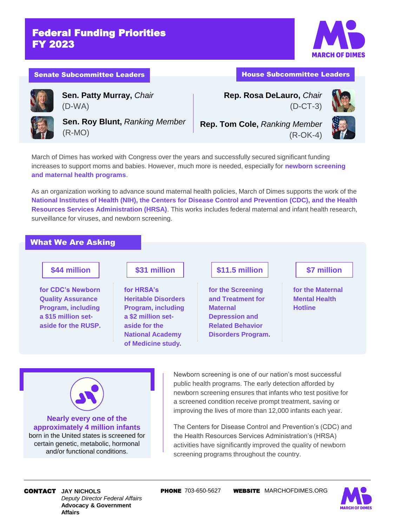## Federal Funding Priorities FY 2023

**Sen. Patty Murray,** *Chair*



#### Senate Subcommittee Leaders **House Subcommittee Leaders** House Subcommittee Leaders

(D-WA)

**Rep. Rosa DeLauro,** *Chair* (D-CT-3)





**Sen. Roy Blunt,** *Ranking Member* (R-MO)

**Rep. Tom Cole,** *Ranking Member* (R-OK-4)



March of Dimes has worked with Congress over the years and successfully secured significant funding increases to support moms and babies. However, much more is needed, especially for **newborn screening and maternal health programs**.

As an organization working to advance sound maternal health policies, March of Dimes supports the work of the **National Institutes of Health (NIH), the Centers for Disease Control and Prevention (CDC), and the Health Resources Services Administration (HRSA)**. This works includes federal maternal and infant health research, surveillance for viruses, and newborn screening.

### What We Are Asking

### **\$44 million**

**for CDC's Newborn Quality Assurance Program, including a \$15 million setaside for the RUSP.**

# **\$31 million**

**for HRSA's Heritable Disorders Program, including a \$2 million setaside for the National Academy of Medicine study.**

## **\$11.5 million**

**for the Screening and Treatment for Maternal Depression and Related Behavior Disorders Program.**

### **\$7 million**

**for the Maternal Mental Health Hotline**



**approximately 4 million infants** born in the United states is screened for certain genetic, metabolic, hormonal and/or functional conditions.

Newborn screening is one of our nation's most successful public health programs. The early detection afforded by newborn screening ensures that infants who test positive for a screened condition receive prompt treatment, saving or improving the lives of more than 12,000 infants each year.

The Centers for Disease Control and Prevention's (CDC) and the Health Resources Services Administration's (HRSA) activities have significantly improved the quality of newborn screening programs throughout the country.

### *Deputy Director Federal Affairs* **Advocacy & Government Affairs**